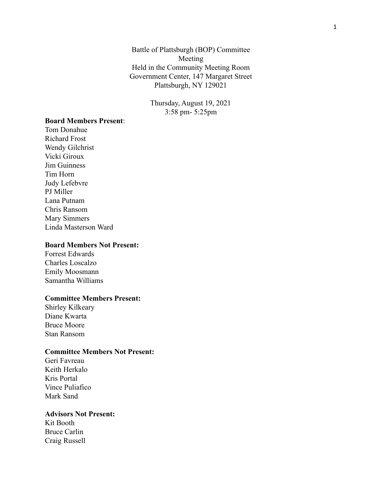Battle of Plattsburgh (BOP) Committee Meeting Held in the Community Meeting Room Government Center, 147 Margaret Street Plattsburgh, NY 129021

> Thursday, August 19, 2021 3:58 pm- 5:25pm

### **Board Members Present**:

Tom Donahue Richard Frost Wendy Gilchrist Vicki Giroux Jim Guinness Tim Horn Judy Lefebvre PJ Miller Lana Putnam Chris Ransom Mary Simmers Linda Masterson Ward

### **Board Members Not Present:**

Forrest Edwards Charles Loscalzo Emily Moosmann Samantha Williams

#### **Committee Members Present:**

Shirley Kilkeary Diane Kwarta Bruce Moore Stan Ransom

### **Committee Members Not Present:**

Geri Favreau Keith Herkalo Kris Portal Vince Puliafico Mark Sand

### **Advisors Not Present:**

Kit Booth Bruce Carlin Craig Russell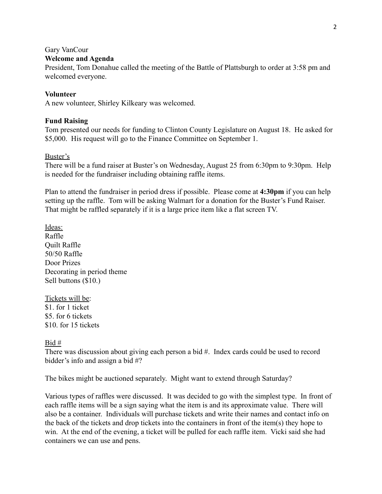### Gary VanCour

### **Welcome and Agenda**

President, Tom Donahue called the meeting of the Battle of Plattsburgh to order at 3:58 pm and welcomed everyone.

### **Volunteer**

A new volunteer, Shirley Kilkeary was welcomed.

### **Fund Raising**

Tom presented our needs for funding to Clinton County Legislature on August 18. He asked for \$5,000. His request will go to the Finance Committee on September 1.

### Buster's

There will be a fund raiser at Buster's on Wednesday, August 25 from 6:30pm to 9:30pm. Help is needed for the fundraiser including obtaining raffle items.

Plan to attend the fundraiser in period dress if possible. Please come at **4:30pm** if you can help setting up the raffle. Tom will be asking Walmart for a donation for the Buster's Fund Raiser. That might be raffled separately if it is a large price item like a flat screen TV.

Ideas: Raffle Quilt Raffle 50/50 Raffle Door Prizes Decorating in period theme Sell buttons (\$10.)

Tickets will be: \$1. for 1 ticket \$5. for 6 tickets \$10 for 15 tickets

Bid #

There was discussion about giving each person a bid #. Index cards could be used to record bidder's info and assign a bid #?

The bikes might be auctioned separately. Might want to extend through Saturday?

Various types of raffles were discussed. It was decided to go with the simplest type. In front of each raffle items will be a sign saying what the item is and its approximate value. There will also be a container. Individuals will purchase tickets and write their names and contact info on the back of the tickets and drop tickets into the containers in front of the item(s) they hope to win. At the end of the evening, a ticket will be pulled for each raffle item. Vicki said she had containers we can use and pens.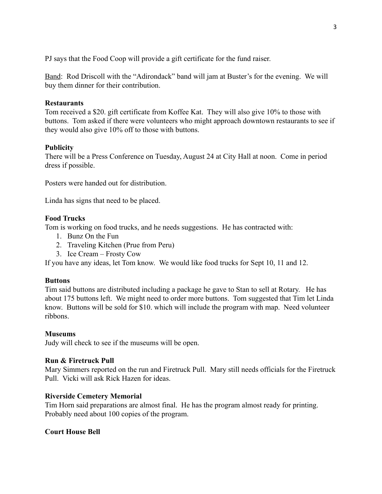PJ says that the Food Coop will provide a gift certificate for the fund raiser.

Band: Rod Driscoll with the "Adirondack" band will jam at Buster's for the evening. We will buy them dinner for their contribution.

# **Restaurants**

Tom received a \$20. gift certificate from Koffee Kat. They will also give 10% to those with buttons. Tom asked if there were volunteers who might approach downtown restaurants to see if they would also give 10% off to those with buttons.

# **Publicity**

There will be a Press Conference on Tuesday, August 24 at City Hall at noon. Come in period dress if possible.

Posters were handed out for distribution.

Linda has signs that need to be placed.

# **Food Trucks**

Tom is working on food trucks, and he needs suggestions. He has contracted with:

- 1. Bunz On the Fun
- 2. Traveling Kitchen (Prue from Peru)
- 3. Ice Cream Frosty Cow

If you have any ideas, let Tom know. We would like food trucks for Sept 10, 11 and 12.

## **Buttons**

Tim said buttons are distributed including a package he gave to Stan to sell at Rotary. He has about 175 buttons left. We might need to order more buttons. Tom suggested that Tim let Linda know. Buttons will be sold for \$10. which will include the program with map. Need volunteer ribbons.

## **Museums**

Judy will check to see if the museums will be open.

## **Run & Firetruck Pull**

Mary Simmers reported on the run and Firetruck Pull. Mary still needs officials for the Firetruck Pull. Vicki will ask Rick Hazen for ideas.

# **Riverside Cemetery Memorial**

Tim Horn said preparations are almost final. He has the program almost ready for printing. Probably need about 100 copies of the program.

# **Court House Bell**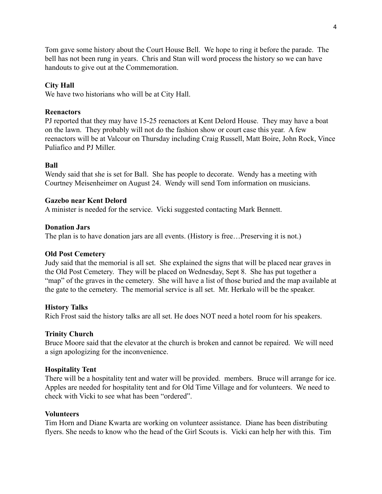Tom gave some history about the Court House Bell. We hope to ring it before the parade. The bell has not been rung in years. Chris and Stan will word process the history so we can have handouts to give out at the Commemoration.

# **City Hall**

We have two historians who will be at City Hall.

## **Reenactors**

PJ reported that they may have 15-25 reenactors at Kent Delord House. They may have a boat on the lawn. They probably will not do the fashion show or court case this year. A few reenactors will be at Valcour on Thursday including Craig Russell, Matt Boire, John Rock, Vince Puliafico and PJ Miller.

### **Ball**

Wendy said that she is set for Ball. She has people to decorate. Wendy has a meeting with Courtney Meisenheimer on August 24. Wendy will send Tom information on musicians.

### **Gazebo near Kent Delord**

A minister is needed for the service. Vicki suggested contacting Mark Bennett.

### **Donation Jars**

The plan is to have donation jars are all events. (History is free…Preserving it is not.)

### **Old Post Cemetery**

Judy said that the memorial is all set. She explained the signs that will be placed near graves in the Old Post Cemetery. They will be placed on Wednesday, Sept 8. She has put together a "map" of the graves in the cemetery. She will have a list of those buried and the map available at the gate to the cemetery. The memorial service is all set. Mr. Herkalo will be the speaker.

## **History Talks**

Rich Frost said the history talks are all set. He does NOT need a hotel room for his speakers.

### **Trinity Church**

Bruce Moore said that the elevator at the church is broken and cannot be repaired. We will need a sign apologizing for the inconvenience.

## **Hospitality Tent**

There will be a hospitality tent and water will be provided. members. Bruce will arrange for ice. Apples are needed for hospitality tent and for Old Time Village and for volunteers. We need to check with Vicki to see what has been "ordered".

### **Volunteers**

Tim Horn and Diane Kwarta are working on volunteer assistance. Diane has been distributing flyers. She needs to know who the head of the Girl Scouts is. Vicki can help her with this. Tim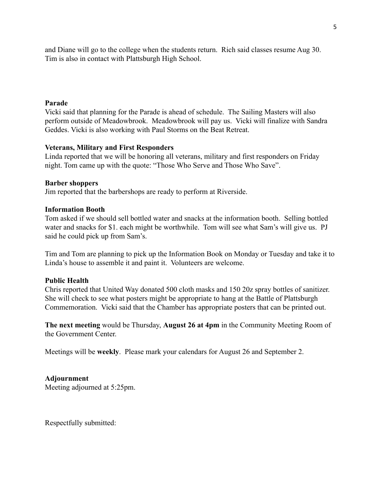and Diane will go to the college when the students return. Rich said classes resume Aug 30. Tim is also in contact with Plattsburgh High School.

# **Parade**

Vicki said that planning for the Parade is ahead of schedule. The Sailing Masters will also perform outside of Meadowbrook. Meadowbrook will pay us. Vicki will finalize with Sandra Geddes. Vicki is also working with Paul Storms on the Beat Retreat.

### **Veterans, Military and First Responders**

Linda reported that we will be honoring all veterans, military and first responders on Friday night. Tom came up with the quote: "Those Who Serve and Those Who Save".

### **Barber shoppers**

Jim reported that the barbershops are ready to perform at Riverside.

### **Information Booth**

Tom asked if we should sell bottled water and snacks at the information booth. Selling bottled water and snacks for \$1. each might be worthwhile. Tom will see what Sam's will give us. PJ said he could pick up from Sam's.

Tim and Tom are planning to pick up the Information Book on Monday or Tuesday and take it to Linda's house to assemble it and paint it. Volunteers are welcome.

### **Public Health**

Chris reported that United Way donated 500 cloth masks and 150 20z spray bottles of sanitizer. She will check to see what posters might be appropriate to hang at the Battle of Plattsburgh Commemoration. Vicki said that the Chamber has appropriate posters that can be printed out.

**The next meeting** would be Thursday, **August 26 at 4pm** in the Community Meeting Room of the Government Center.

Meetings will be **weekly**. Please mark your calendars for August 26 and September 2.

## **Adjournment**

Meeting adjourned at 5:25pm.

Respectfully submitted: